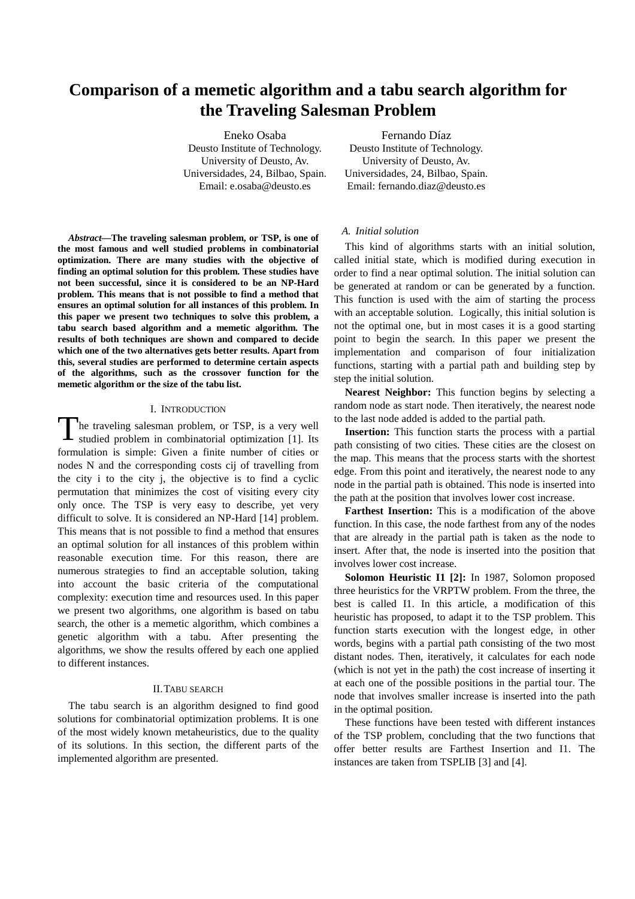# **Comparison of a memetic algorithm and a tabu search algorithm for the Traveling Salesman Problem**

Eneko Osaba Deusto Institute of Technology. University of Deusto, Av. Universidades, 24, Bilbao, Spain. Email: e.osaba@deusto.es

Fernando Díaz Deusto Institute of Technology. University of Deusto, Av. Universidades, 24, Bilbao, Spain. Email: fernando.diaz@deusto.es

*Abstract—***The traveling salesman problem, or TSP, is one of the most famous and well studied problems in combinatorial optimization. There are many studies with the objective of finding an optimal solution for this problem. These studies have not been successful, since it is considered to be an NP-Hard problem. This means that is not possible to find a method that ensures an optimal solution for all instances of this problem. In this paper we present two techniques to solve this problem, a tabu search based algorithm and a memetic algorithm. The results of both techniques are shown and compared to decide which one of the two alternatives gets better results. Apart from this, several studies are performed to determine certain aspects of the algorithms, such as the crossover function for the memetic algorithm or the size of the tabu list.** 

#### I. INTRODUCTION

The traveling salesman problem, or TSP, is a very well studied problem in combinatorial optimization [1]. Its studied problem in combinatorial optimization [1]. Its formulation is simple: Given a finite number of cities or nodes N and the corresponding costs cij of travelling from the city i to the city j, the objective is to find a cyclic permutation that minimizes the cost of visiting every city only once. The TSP is very easy to describe, yet very difficult to solve. It is considered an NP-Hard [14] problem. This means that is not possible to find a method that ensures an optimal solution for all instances of this problem within reasonable execution time. For this reason, there are numerous strategies to find an acceptable solution, taking into account the basic criteria of the computational complexity: execution time and resources used. In this paper we present two algorithms, one algorithm is based on tabu search, the other is a memetic algorithm, which combines a genetic algorithm with a tabu. After presenting the algorithms, we show the results offered by each one applied to different instances.

#### II.TABU SEARCH

The tabu search is an algorithm designed to find good solutions for combinatorial optimization problems. It is one of the most widely known metaheuristics, due to the quality of its solutions. In this section, the different parts of the implemented algorithm are presented.

## *A. Initial solution*

This kind of algorithms starts with an initial solution, called initial state, which is modified during execution in order to find a near optimal solution. The initial solution can be generated at random or can be generated by a function. This function is used with the aim of starting the process with an acceptable solution. Logically, this initial solution is not the optimal one, but in most cases it is a good starting point to begin the search. In this paper we present the implementation and comparison of four initialization functions, starting with a partial path and building step by step the initial solution.

**Nearest Neighbor:** This function begins by selecting a random node as start node. Then iteratively, the nearest node to the last node added is added to the partial path.

**Insertion:** This function starts the process with a partial path consisting of two cities. These cities are the closest on the map. This means that the process starts with the shortest edge. From this point and iteratively, the nearest node to any node in the partial path is obtained. This node is inserted into the path at the position that involves lower cost increase.

**Farthest Insertion:** This is a modification of the above function. In this case, the node farthest from any of the nodes that are already in the partial path is taken as the node to insert. After that, the node is inserted into the position that involves lower cost increase.

**Solomon Heuristic I1 [2]:** In 1987, Solomon proposed three heuristics for the VRPTW problem. From the three, the best is called I1. In this article, a modification of this heuristic has proposed, to adapt it to the TSP problem. This function starts execution with the longest edge, in other words, begins with a partial path consisting of the two most distant nodes. Then, iteratively, it calculates for each node (which is not yet in the path) the cost increase of inserting it at each one of the possible positions in the partial tour. The node that involves smaller increase is inserted into the path in the optimal position.

These functions have been tested with different instances of the TSP problem, concluding that the two functions that offer better results are Farthest Insertion and I1. The instances are taken from TSPLIB [3] and [4].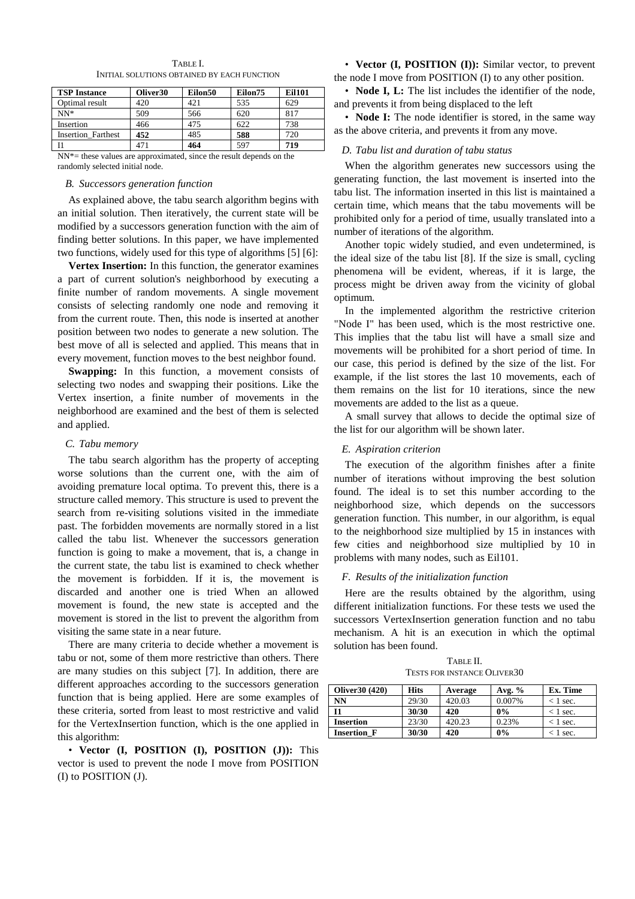| <b>TSP Instance</b>       | Oliver <sub>30</sub> | Eilon50 | Eilon75 | Eil101 |
|---------------------------|----------------------|---------|---------|--------|
| Optimal result            | 420                  | 42.1    | 535     | 629    |
| $NN*$                     | 509                  | 566     | 620     | 817    |
| Insertion                 | 466                  | 475     | 622     | 738    |
| <b>Insertion Farthest</b> | 452                  | 485     | 588     | 720    |
|                           | 471                  | 464     | 597     | 719    |

TABLE I. INITIAL SOLUTIONS OBTAINED BY EACH FUNCTION

NN\*= these values are approximated, since the result depends on the randomly selected initial node.

## *B. Successors generation function*

As explained above, the tabu search algorithm begins with an initial solution. Then iteratively, the current state will be modified by a successors generation function with the aim of finding better solutions. In this paper, we have implemented two functions, widely used for this type of algorithms [5] [6]:

**Vertex Insertion:** In this function, the generator examines a part of current solution's neighborhood by executing a finite number of random movements. A single movement consists of selecting randomly one node and removing it from the current route. Then, this node is inserted at another position between two nodes to generate a new solution. The best move of all is selected and applied. This means that in every movement, function moves to the best neighbor found.

**Swapping:** In this function, a movement consists of selecting two nodes and swapping their positions. Like the Vertex insertion, a finite number of movements in the neighborhood are examined and the best of them is selected and applied.

#### *C. Tabu memory*

The tabu search algorithm has the property of accepting worse solutions than the current one, with the aim of avoiding premature local optima. To prevent this, there is a structure called memory. This structure is used to prevent the search from re-visiting solutions visited in the immediate past. The forbidden movements are normally stored in a list called the tabu list. Whenever the successors generation function is going to make a movement, that is, a change in the current state, the tabu list is examined to check whether the movement is forbidden. If it is, the movement is discarded and another one is tried When an allowed movement is found, the new state is accepted and the movement is stored in the list to prevent the algorithm from visiting the same state in a near future.

There are many criteria to decide whether a movement is tabu or not, some of them more restrictive than others. There are many studies on this subject [7]. In addition, there are different approaches according to the successors generation function that is being applied. Here are some examples of these criteria, sorted from least to most restrictive and valid for the VertexInsertion function, which is the one applied in this algorithm:

• **Vector (I, POSITION (I), POSITION (J)):** This vector is used to prevent the node I move from POSITION (I) to POSITION (J).

• **Vector (I, POSITION (I)):** Similar vector, to prevent the node I move from POSITION (I) to any other position.

• **Node I, L:** The list includes the identifier of the node, and prevents it from being displaced to the left

• **Node I:** The node identifier is stored, in the same way as the above criteria, and prevents it from any move.

## *D. Tabu list and duration of tabu status*

When the algorithm generates new successors using the generating function, the last movement is inserted into the tabu list. The information inserted in this list is maintained a certain time, which means that the tabu movements will be prohibited only for a period of time, usually translated into a number of iterations of the algorithm.

Another topic widely studied, and even undetermined, is the ideal size of the tabu list [8]. If the size is small, cycling phenomena will be evident, whereas, if it is large, the process might be driven away from the vicinity of global optimum.

In the implemented algorithm the restrictive criterion "Node I" has been used, which is the most restrictive one. This implies that the tabu list will have a small size and movements will be prohibited for a short period of time. In our case, this period is defined by the size of the list. For example, if the list stores the last 10 movements, each of them remains on the list for 10 iterations, since the new movements are added to the list as a queue.

A small survey that allows to decide the optimal size of the list for our algorithm will be shown later.

### *E. Aspiration criterion*

The execution of the algorithm finishes after a finite number of iterations without improving the best solution found. The ideal is to set this number according to the neighborhood size, which depends on the successors generation function. This number, in our algorithm, is equal to the neighborhood size multiplied by 15 in instances with few cities and neighborhood size multiplied by 10 in problems with many nodes, such as Eil101.

#### *F. Results of the initialization function*

Here are the results obtained by the algorithm, using different initialization functions. For these tests we used the successors VertexInsertion generation function and no tabu mechanism. A hit is an execution in which the optimal solution has been found.

TABLE II. TESTS FOR INSTANCE OLIVER30

| Oliver 30 (420)    | <b>Hits</b> | Average | Avg. $%$ | Ex. Time   |
|--------------------|-------------|---------|----------|------------|
| NN                 | 29/30       | 420.03  | 0.007%   | $<$ 1 sec. |
| 11                 | 30/30       | 420     | $0\%$    | $<$ 1 sec. |
| <b>Insertion</b>   | 23/30       | 420.23  | 0.23%    | $<$ 1 sec. |
| <b>Insertion F</b> | 30/30       | 420     | $0\%$    | $<$ 1 sec. |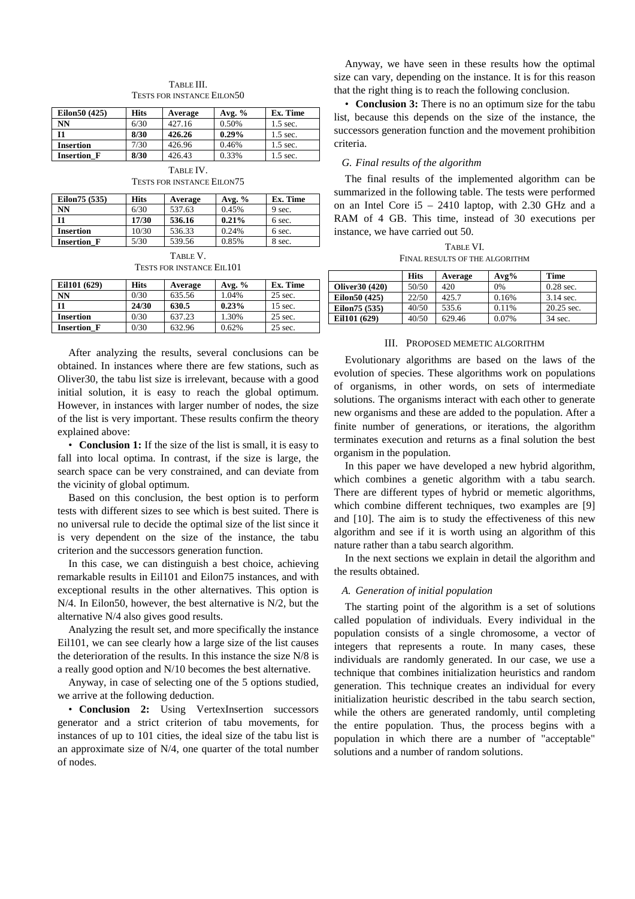| TABLE III.                        |
|-----------------------------------|
| <b>TESTS FOR INSTANCE EILON50</b> |

| Eilon50 (425)      | <b>Hits</b> | Average | Avg. $%$ | Ex. Time   |
|--------------------|-------------|---------|----------|------------|
| <b>NN</b>          | 6/30        | 427.16  | 0.50%    | $1.5$ sec. |
| I <sub>1</sub>     | 8/30        | 426.26  | 0.29%    | $1.5$ sec. |
| <b>Insertion</b>   | 7/30        | 426.96  | 0.46%    | $1.5$ sec. |
| <b>Insertion F</b> | 8/30        | 426.43  | 0.33%    | $1.5$ sec. |

TABLE IV. TESTS FOR INSTANCE EILON75

| Eilon 75 (535)     | <b>Hits</b> | Average | Avg. $%$ | Ex. Time |
|--------------------|-------------|---------|----------|----------|
| NN                 | 6/30        | 537.63  | 0.45%    | 9 sec.   |
| - T1               | 17/30       | 536.16  | 0.21%    | 6 sec.   |
| <b>Insertion</b>   | 10/30       | 536.33  | 0.24%    | 6 sec.   |
| <b>Insertion F</b> | 5/30        | 539.56  | 0.85%    | 8 sec.   |

TABLE V. TESTS FOR INSTANCE EIL101

| Eil101 (629)       | <b>Hits</b> | Average | Avg. $%$ | Ex. Time  |
|--------------------|-------------|---------|----------|-----------|
| NN                 | 0/30        | 635.56  | 1.04%    | 25 sec.   |
| 11                 | 24/30       | 630.5   | 0.23%    | $15$ sec. |
| <b>Insertion</b>   | 0/30        | 637.23  | 1.30%    | 25 sec.   |
| <b>Insertion F</b> | 0/30        | 632.96  | 0.62%    | 25 sec.   |

After analyzing the results, several conclusions can be obtained. In instances where there are few stations, such as Oliver30, the tabu list size is irrelevant, because with a good initial solution, it is easy to reach the global optimum. However, in instances with larger number of nodes, the size of the list is very important. These results confirm the theory explained above:

• **Conclusion 1:** If the size of the list is small, it is easy to fall into local optima. In contrast, if the size is large, the search space can be very constrained, and can deviate from the vicinity of global optimum.

Based on this conclusion, the best option is to perform tests with different sizes to see which is best suited. There is no universal rule to decide the optimal size of the list since it is very dependent on the size of the instance, the tabu criterion and the successors generation function.

In this case, we can distinguish a best choice, achieving remarkable results in Eil101 and Eilon75 instances, and with exceptional results in the other alternatives. This option is N/4. In Eilon50, however, the best alternative is N/2, but the alternative N/4 also gives good results.

Analyzing the result set, and more specifically the instance Eil101, we can see clearly how a large size of the list causes the deterioration of the results. In this instance the size N/8 is a really good option and N/10 becomes the best alternative.

Anyway, in case of selecting one of the 5 options studied, we arrive at the following deduction.

• **Conclusion 2:** Using VertexInsertion successors generator and a strict criterion of tabu movements, for instances of up to 101 cities, the ideal size of the tabu list is an approximate size of N/4, one quarter of the total number of nodes.

Anyway, we have seen in these results how the optimal size can vary, depending on the instance. It is for this reason that the right thing is to reach the following conclusion.

• **Conclusion 3:** There is no an optimum size for the tabu list, because this depends on the size of the instance, the successors generation function and the movement prohibition criteria.

# *G. Final results of the algorithm*

The final results of the implemented algorithm can be summarized in the following table. The tests were performed on an Intel Core i5 – 2410 laptop, with 2.30 GHz and a RAM of 4 GB. This time, instead of 30 executions per instance, we have carried out 50.

TABLE VI. FINAL RESULTS OF THE ALGORITHM

|                 | <b>Hits</b> | Average | $Avg\%$ | <b>Time</b>  |
|-----------------|-------------|---------|---------|--------------|
| Oliver 30 (420) | 50/50       | 420     | 0%      | $0.28$ sec.  |
| Eilon50 (425)   | 22/50       | 425.7   | 0.16%   | $3.14$ sec.  |
| Eilon 75 (535)  | 40/50       | 535.6   | 0.11%   | $20.25$ sec. |
| Eil101 (629)    | 40/50       | 629.46  | 0.07%   | 34 sec.      |

#### III. PROPOSED MEMETIC ALGORITHM

Evolutionary algorithms are based on the laws of the evolution of species. These algorithms work on populations of organisms, in other words, on sets of intermediate solutions. The organisms interact with each other to generate new organisms and these are added to the population. After a finite number of generations, or iterations, the algorithm terminates execution and returns as a final solution the best organism in the population.

In this paper we have developed a new hybrid algorithm, which combines a genetic algorithm with a tabu search. There are different types of hybrid or memetic algorithms, which combine different techniques, two examples are [9] and [10]. The aim is to study the effectiveness of this new algorithm and see if it is worth using an algorithm of this nature rather than a tabu search algorithm.

In the next sections we explain in detail the algorithm and the results obtained.

# *A. Generation of initial population*

The starting point of the algorithm is a set of solutions called population of individuals. Every individual in the population consists of a single chromosome, a vector of integers that represents a route. In many cases, these individuals are randomly generated. In our case, we use a technique that combines initialization heuristics and random generation. This technique creates an individual for every initialization heuristic described in the tabu search section, while the others are generated randomly, until completing the entire population. Thus, the process begins with a population in which there are a number of "acceptable" solutions and a number of random solutions.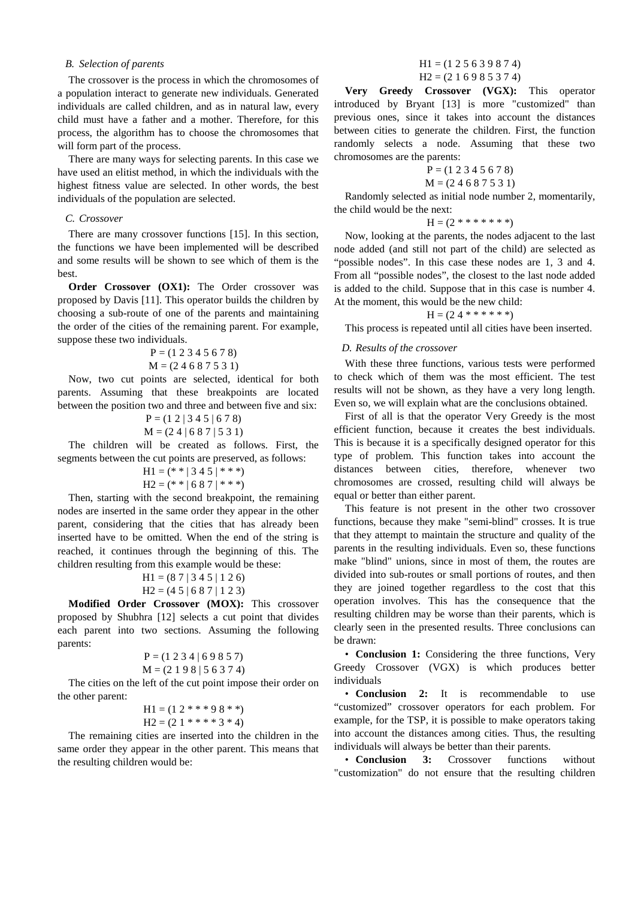## *B. Selection of parents*

The crossover is the process in which the chromosomes of a population interact to generate new individuals. Generated individuals are called children, and as in natural law, every child must have a father and a mother. Therefore, for this process, the algorithm has to choose the chromosomes that will form part of the process.

There are many ways for selecting parents. In this case we have used an elitist method, in which the individuals with the highest fitness value are selected. In other words, the best individuals of the population are selected.

## *C. Crossover*

There are many crossover functions [15]. In this section, the functions we have been implemented will be described and some results will be shown to see which of them is the best.

**Order Crossover (OX1):** The Order crossover was proposed by Davis [11]. This operator builds the children by choosing a sub-route of one of the parents and maintaining the order of the cities of the remaining parent. For example, suppose these two individuals.

$$
P = (1 2 3 4 5 6 7 8)
$$
  
M = (2 4 6 8 7 5 3 1)

Now, two cut points are selected, identical for both parents. Assuming that these breakpoints are located between the position two and three and between five and six:  $P = (1 \ 2 \ 1 \ 3 \ 4 \ 5 \ 1 \ 6 \ 7 \ 8)$ 

$$
M = (24 | 687 | 531)
$$

The children will be created as follows. First, the segments between the cut points are preserved, as follows:

$$
H1 = (* * | 3 4 5 | * * *)
$$
  

$$
H2 = (* * | 6 8 7 | * * *)
$$

Then, starting with the second breakpoint, the remaining nodes are inserted in the same order they appear in the other parent, considering that the cities that has already been inserted have to be omitted. When the end of the string is reached, it continues through the beginning of this. The children resulting from this example would be these:

$$
H1 = (87 | 345 | 126)
$$
  

$$
H2 = (45 | 687 | 123)
$$

**Modified Order Crossover (MOX):** This crossover proposed by Shubhra [12] selects a cut point that divides each parent into two sections. Assuming the following parents:

$$
P = (1 2 3 4 | 6 9 8 5 7)
$$
  
M = (2 1 9 8 | 5 6 3 7 4)

The cities on the left of the cut point impose their order on the other parent:

$$
H1 = (1 2 ** * 9 8 **)
$$
  

$$
H2 = (2 1 ** ** 3 * 4)
$$

The remaining cities are inserted into the children in the same order they appear in the other parent. This means that the resulting children would be:

## $H1 = (1 2 5 6 3 9 8 7 4)$  $H2 = (2 1 6 9 8 5 3 7 4)$

**Very Greedy Crossover (VGX):** This operator introduced by Bryant [13] is more "customized" than previous ones, since it takes into account the distances between cities to generate the children. First, the function randomly selects a node. Assuming that these two chromosomes are the parents:

$$
P = (1 2 3 4 5 6 7 8)
$$
  
M = (2 4 6 8 7 5 3 1)

Randomly selected as initial node number 2, momentarily, the child would be the next:

 $H = (2$  \* \* \* \* \* \* \*)

Now, looking at the parents, the nodes adjacent to the last node added (and still not part of the child) are selected as "possible nodes". In this case these nodes are 1, 3 and 4. From all "possible nodes", the closest to the last node added is added to the child. Suppose that in this case is number 4. At the moment, this would be the new child:

$$
H = (2\ 4******)
$$

This process is repeated until all cities have been inserted.

## *D. Results of the crossover*

With these three functions, various tests were performed to check which of them was the most efficient. The test results will not be shown, as they have a very long length. Even so, we will explain what are the conclusions obtained.

First of all is that the operator Very Greedy is the most efficient function, because it creates the best individuals. This is because it is a specifically designed operator for this type of problem. This function takes into account the distances between cities, therefore, whenever two chromosomes are crossed, resulting child will always be equal or better than either parent.

This feature is not present in the other two crossover functions, because they make "semi-blind" crosses. It is true that they attempt to maintain the structure and quality of the parents in the resulting individuals. Even so, these functions make "blind" unions, since in most of them, the routes are divided into sub-routes or small portions of routes, and then they are joined together regardless to the cost that this operation involves. This has the consequence that the resulting children may be worse than their parents, which is clearly seen in the presented results. Three conclusions can be drawn:

• **Conclusion 1:** Considering the three functions, Very Greedy Crossover (VGX) is which produces better individuals

• **Conclusion 2:** It is recommendable to use "customized" crossover operators for each problem. For example, for the TSP, it is possible to make operators taking into account the distances among cities. Thus, the resulting individuals will always be better than their parents.

• **Conclusion 3:** Crossover functions without "customization" do not ensure that the resulting children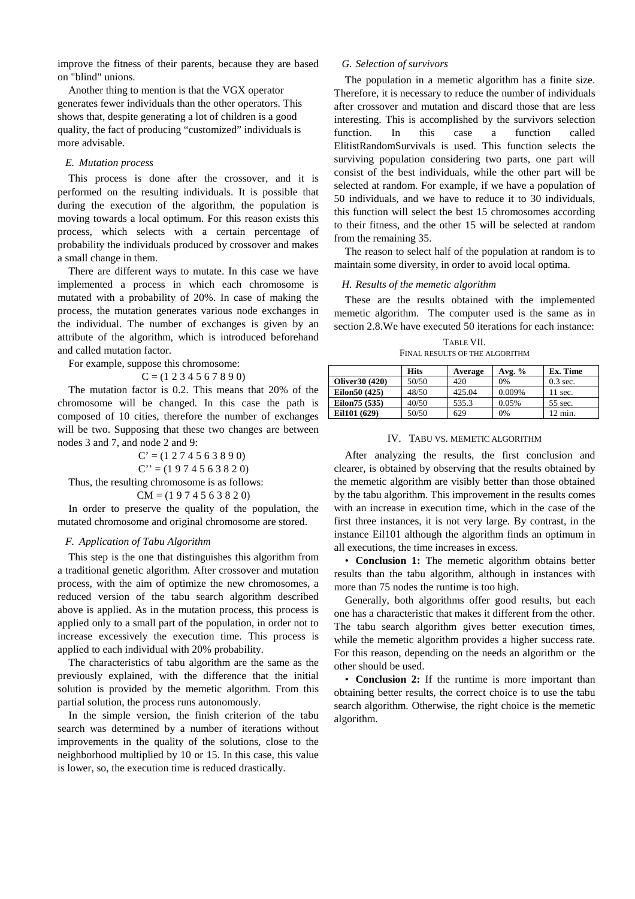improve the fitness of their parents, because they are based on "blind" unions.

Another thing to mention is that the VGX operator generates fewer individuals than the other operators. This shows that, despite generating a lot of children is a good quality, the fact of producing "customized" individuals is more advisable.

## *E. Mutation process*

This process is done after the crossover, and it is performed on the resulting individuals. It is possible that during the execution of the algorithm, the population is moving towards a local optimum. For this reason exists this process, which selects with a certain percentage of probability the individuals produced by crossover and makes a small change in them.

There are different ways to mutate. In this case we have implemented a process in which each chromosome is mutated with a probability of 20%. In case of making the process, the mutation generates various node exchanges in the individual. The number of exchanges is given by an attribute of the algorithm, which is introduced beforehand and called mutation factor.

For example, suppose this chromosome:

$$
C = (1\ 2\ 3\ 4\ 5\ 6\ 7\ 8\ 9\ 0)
$$

The mutation factor is 0.2. This means that 20% of the chromosome will be changed. In this case the path is composed of 10 cities, therefore the number of exchanges will be two. Supposing that these two changes are between nodes 3 and 7, and node 2 and 9:

> $C' = (1 2 7 4 5 6 3 8 9 0)$  $C'' = (1974563820)$

Thus, the resulting chromosome is as follows:

$$
CM = (1 9 7 4 5 6 3 8 2 0)
$$

In order to preserve the quality of the population, the mutated chromosome and original chromosome are stored.

# *F. Application of Tabu Algorithm*

This step is the one that distinguishes this algorithm from a traditional genetic algorithm. After crossover and mutation process, with the aim of optimize the new chromosomes, a reduced version of the tabu search algorithm described above is applied. As in the mutation process, this process is applied only to a small part of the population, in order not to increase excessively the execution time. This process is applied to each individual with 20% probability.

The characteristics of tabu algorithm are the same as the previously explained, with the difference that the initial solution is provided by the memetic algorithm. From this partial solution, the process runs autonomously.

In the simple version, the finish criterion of the tabu search was determined by a number of iterations without improvements in the quality of the solutions, close to the neighborhood multiplied by 10 or 15. In this case, this value is lower, so, the execution time is reduced drastically.

#### *G. Selection of survivors*

The population in a memetic algorithm has a finite size. Therefore, it is necessary to reduce the number of individuals after crossover and mutation and discard those that are less interesting. This is accomplished by the survivors selection function. In this case a function called ElitistRandomSurvivals is used. This function selects the surviving population considering two parts, one part will consist of the best individuals, while the other part will be selected at random. For example, if we have a population of 50 individuals, and we have to reduce it to 30 individuals, this function will select the best 15 chromosomes according to their fitness, and the other 15 will be selected at random from the remaining 35.

The reason to select half of the population at random is to maintain some diversity, in order to avoid local optima.

#### *H. Results of the memetic algorithm*

These are the results obtained with the implemented memetic algorithm. The computer used is the same as in section 2.8.We have executed 50 iterations for each instance:

TABLE VII. FINAL RESULTS OF THE ALGORITHM

|                 | <b>Hits</b> | Average | Avg. $%$ | Ex. Time          |
|-----------------|-------------|---------|----------|-------------------|
| Oliver 30 (420) | 50/50       | 420     | 0%       | $0.3$ sec.        |
| Eilon50 (425)   | 48/50       | 425.04  | 0.009%   | $11 \text{ sec.}$ |
| Eilon 75 (535)  | 40/50       | 535.3   | 0.05%    | 55 sec.           |
| Eil101 (629)    | 50/50       | 629     | 0%       | $12 \text{ min.}$ |

# IV. TABU VS. MEMETIC ALGORITHM

After analyzing the results, the first conclusion and clearer, is obtained by observing that the results obtained by the memetic algorithm are visibly better than those obtained by the tabu algorithm. This improvement in the results comes with an increase in execution time, which in the case of the first three instances, it is not very large. By contrast, in the instance Eil101 although the algorithm finds an optimum in all executions, the time increases in excess.

• **Conclusion 1:** The memetic algorithm obtains better results than the tabu algorithm, although in instances with more than 75 nodes the runtime is too high.

Generally, both algorithms offer good results, but each one has a characteristic that makes it different from the other. The tabu search algorithm gives better execution times, while the memetic algorithm provides a higher success rate. For this reason, depending on the needs an algorithm or the other should be used.

• **Conclusion 2:** If the runtime is more important than obtaining better results, the correct choice is to use the tabu search algorithm. Otherwise, the right choice is the memetic algorithm.